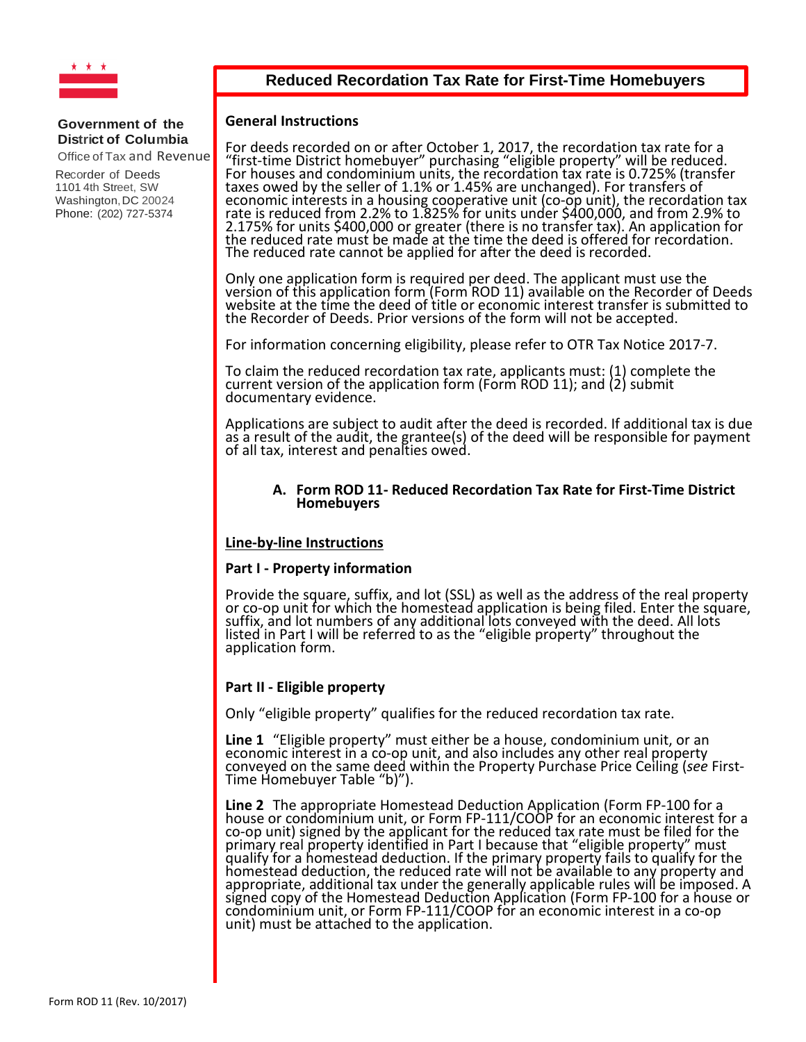

# **Reduced Recordation Tax Rate for First-Time Homebuyers**

#### **General Instructions**

For deeds recorded on or after October 1, 2017, the recordation tax rate for a "first-time District homebuyer" purchasing "eligible property" will be reduced.<br>For houses and condominium units, the recordation tax rate is 0.725% (transfer<br>taxes owed by the seller of 1.1% or 1.45% are unchanged). For t taxes owed by the seller of 1.1% or 1.45% are unchanged). For transfers of<br>economic interests in a housing cooperative unit (co-op unit), the recordation tax<br>rate is reduced from 2.2% to 1.825% for units under \$400,000, an 2.175% for units \$400,000 or greater (there is no transfer tax). An application for<br>the reduced rate must be made at the time the deed is offered for recordation. The reduced rate cannot be applied for after the deed is recorded.

Only one application form is required per deed. The applicant must use the version of this application form (Form ROD 11) available on the Recorder of Deeds website at the time the deed of title or economic interest transfer is submitted to the Recorder of Deeds. Prior versions of the form will not be accepted.

For information concerning eligibility, please refer to OTR Tax Notice 2017-7.

To claim the reduced recordation tax rate, applicants must: (1) complete the<br>current version of the application form (Form ROD 11); and (2) submit<br>documentary evidence.

Applications are subject to audit after the deed is recorded. If additional tax is due as a result of the audit, the grantee(s) of the deed will be responsible for payment of all tax, interest and penalties owed.

#### **A. Form ROD 11- Reduced Recordation Tax Rate for First-Time District Homebuyers**

#### **Line-by-line Instructions**

#### **Part I - Property information**

Provide the square, suffix, and lot (SSL) as well as the address of the real property or co-op unit for which the homestead application is being filed. Enter the square, or co-op unit for which the homestead application is being filed. Enter the square,<br>suffix, and lot numbers of any additional lots conveyed with the deed. All lots listed in Part I will be referred to as the "eligible property" throughout the<br>application form.

### **Part II - Eligible property**

Only "eligible property" qualifies for the reduced recordation tax rate.

Line 1 "Eligible property" must either be a house, condominium unit, or an economic interest in a co-op unit, and also includes any other real property conveyed on the same deed within the Property Purchase Price Ceiling (*see* First-<br>Time Homebuyer Table "b)").

**Line 2** The appropriate Homestead Deduction Application (Form FP-100 for a house or condominium unit, or Form FP-111/COOP for an economic interest for a co-op unit) signed by the applicant for the reduced tax rate must be filed for the primary real property identified in Part I because that "eligible property" must<br>qualify for a homestead deduction. If the primary property fails to qualify for the<br>homestead deduction, the reduced rate will not be availab appropriate, additional tax under the generally applicable rules will be imposed. A signed copy of the Homestead Deduction Application (Form FP-100 for a house or condominium unit, or Form FP-111/COOP for an economic interest in a co-op unit) must be attached to the application.

#### **Government of the District of Columbia**

Office of Tax and Revenue

Recorder of Deeds 1101 4th Street, SW Washington, DC 20024 Phone: (202) 727-5374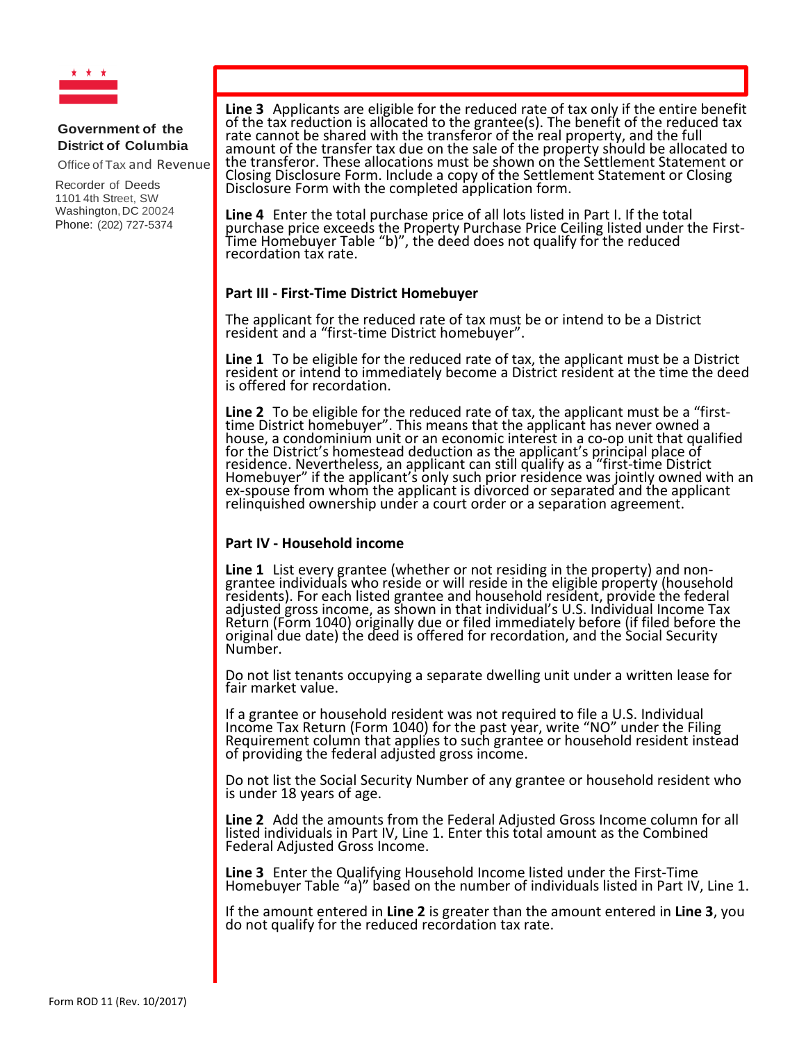

Office of Tax and Revenue

Recorder of Deeds 1101 4th Street, SW Washington, DC 20024 Phone: (202) 727-5374

**Line 3** Applicants are eligible for the reduced rate of tax only if the entire benefit of the reduced tax of the tax reduction is allocated to the grantee(s). The benefit of the reduced tax rate cannot be shared with the transferor of the real property, and the full amount of the transfer tax due on the sale of the property should be allocated to the transferor. These allocations must be shown on the Settlement Statement or Closing Disclosure Form. Include a copy of the Settlement Statement or Closing Disclosure Form with the completed application form.

**Line 4** Enter the total purchase price of all lots listed in Part I. If the total purchase price exceeds the Property Purchase Price Ceiling listed under the First-<br>Time Homebuyer Table "b)", the deed does not qualify for the reduced<br>recordation tax rate.

## **Part III - First-Time District Homebuyer**

The applicant for the reduced rate of tax must be or intend to be a District resident and a "first-time District homebuyer".

**Line 1** To be eligible for the reduced rate of tax, the applicant must be a District resident or intend to immediately become a District resident at the time the deed is offered for recordation.

**Line 2** To be eligible for the reduced rate of tax, the applicant must be a "first-<br>time District homebuyer". This means that the applicant has never owned a<br>house, a condominium unit or an economic interest in a co-op un house, a condominium unit or an economic interest in a co-op unit that qualified<br>for the District's homestead deduction as the applicant's principal place of<br>residence. Nevertheless, an applicant can still qualify as a "fi Homebuyer" if the applicant's only such prior residence was jointly owned with an ex-spouse from whom the applicant is divorced or separated and the applicant relinquished ownership under a court order or a separation agreement.

### **Part IV - Household income**

**Line 1** List every grantee (whether or not residing in the property) and non-<br>grantee individuals who reside or will reside in the eligible property (household<br>residents). For each listed grantee and household resident, p adjusted gross income, as shown in that individual's U.S. Individual Income Tax Return (Form 1040) originally due or filed immediately before (if filed before the original due date) the deed is offered for recordation, and the Social Security<br>Number.

Do not list tenants occupying a separate dwelling unit under a written lease for fair market value.

If a grantee or household resident was not required to file a U.S. Individual Income Tax Return (Form 1040) for the past year, write "NO" under the Filing<br>Requirement column that applies to such grantee or household resident instead of providing the federal adjusted gross income.

Do not list the Social Security Number of any grantee or household resident who is under 18 years of age.

**Line 2** Add the amounts from the Federal Adjusted Gross Income column for all listed individuals in Part IV, Line 1. Enter this total amount as the Combined Federal Adjusted Gross Income.

**Line 3** Enter the Qualifying Household Income listed under the First-Time Homebuyer Table "a)" based on the number of individuals listed in Part IV, Line 1.

If the amount entered in **Line 2** is greater than the amount entered in **Line 3**, you do not qualify for the reduced recordation tax rate.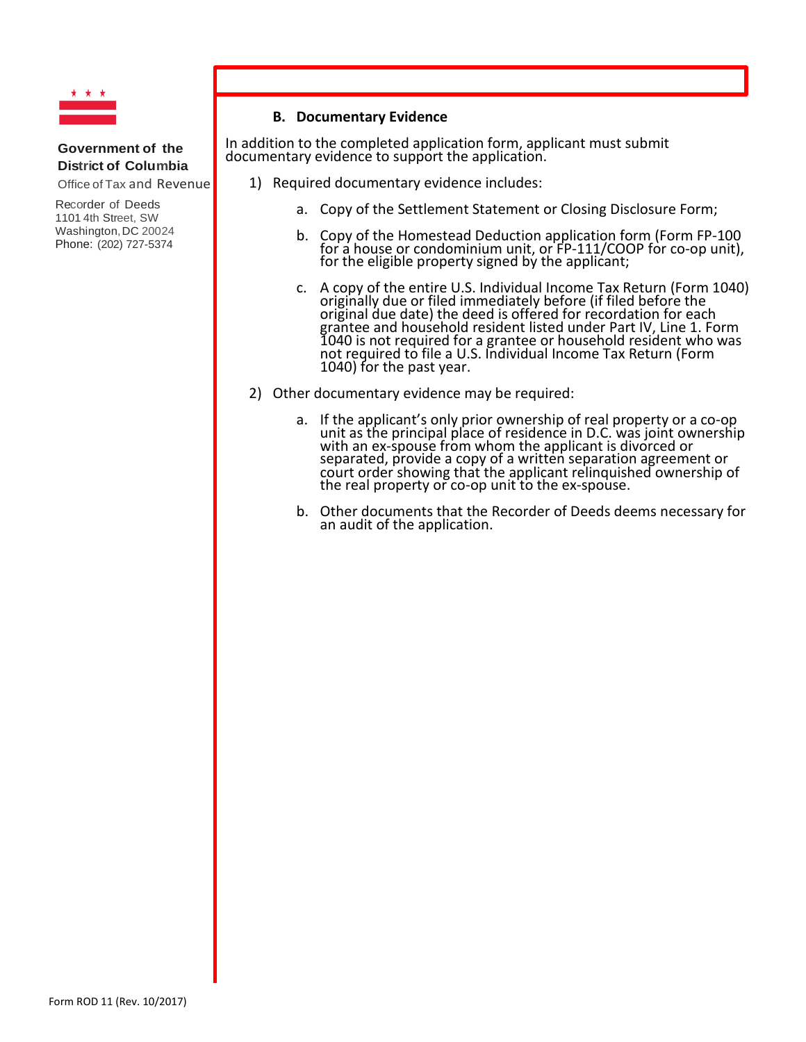

Office of Tax and Revenue

Recorder of Deeds 1101 4th Street, SW Washington, DC 20024 Phone: (202) 727-5374

# **B. Documentary Evidence**

In addition to the completed application form, applicant must submit documentary evidence to support the application.

1) Required documentary evidence includes:

- a. Copy of the Settlement Statement or Closing Disclosure Form;
- b. Copy of the Homestead Deduction application form (Form FP-100 for a house or condominium unit, or FP-111/COOP for co-op unit),<br>for the eligible property signed by the applicant;
- c. A copy of the entire U.S. Individual Income Tax Return (Form 1040) originally due or filed immediately before (if filed before the original due date) the deed is offered for recordation for each grantee and household resident listed under Part IV, Line 1. Form 1040 is not required for a grantee or household resident who was not required to file a U.S. Individual Income Tax Return (Form 1040) for the past year.
- 2) Other documentary evidence may be required:
	- a. If the applicant's only prior ownership of real property or a co-op unit as the principal place of residence in D.C. was joint ownership<br>with an ex-spouse from whom the applicant is divorced or<br>separated, provide a copy of a written separation agreement or<br>court order showing that the appl
	- b. Other documents that the Recorder of Deeds deems necessary for an audit of the application.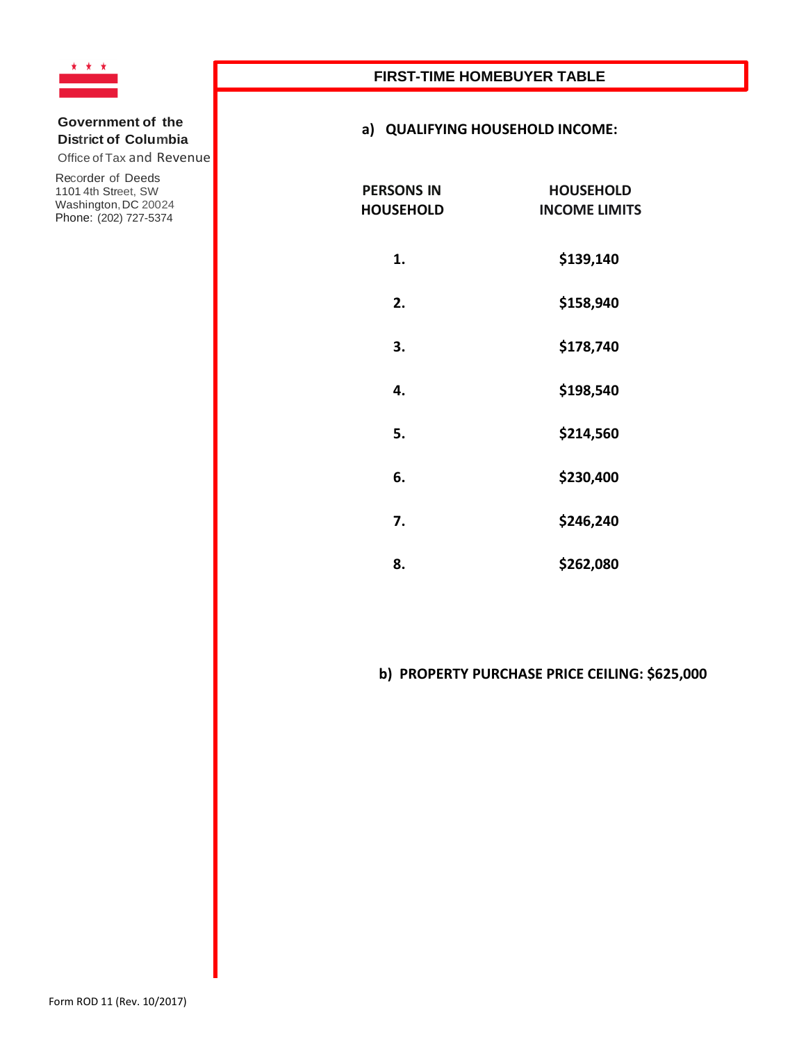

Office of Tax and Revenue

Recorder of Deeds 1101 4th Street, SW Washington,DC 20024 Phone: (202) 727-5374

# **FIRST-TIME HOMEBUYER TABLE**

## **a) QUALIFYING HOUSEHOLD INCOME:**

| <b>PERSONS IN</b><br><b>HOUSEHOLD</b> | <b>HOUSEHOLD</b><br><b>INCOME LIMITS</b> |  |
|---------------------------------------|------------------------------------------|--|
| 1.                                    | \$139,140                                |  |
| 2.                                    | \$158,940                                |  |
| 3.                                    | \$178,740                                |  |
| 4.                                    | \$198,540                                |  |
| 5.                                    | \$214,560                                |  |
| 6.                                    | \$230,400                                |  |
| 7.                                    | \$246,240                                |  |
| 8.                                    | \$262,080                                |  |

# **b) PROPERTY PURCHASE PRICE CEILING: \$625,000**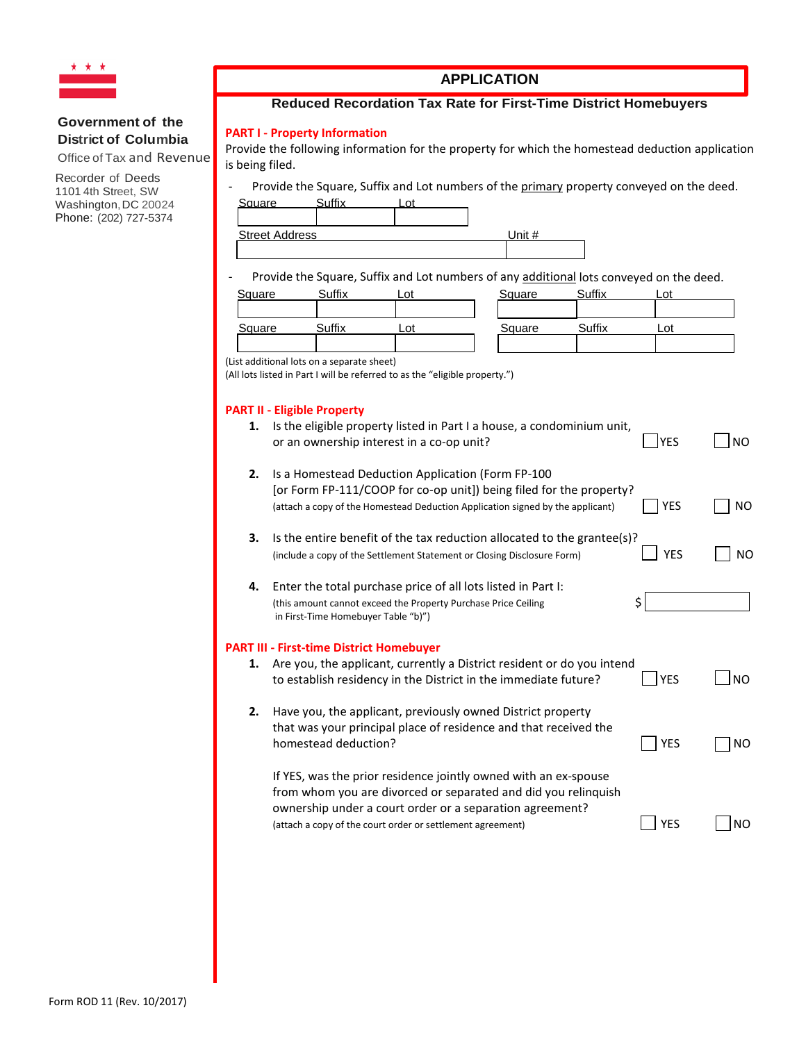

Office of Tax and Revenue

Recorder of Deeds 1101 4th Street, SW Washington, DC 20024 Phone: (202) 727-5374

# **APPLICATION**

## **Reduced Recordation Tax Rate for First-Time District Homebuyers**

#### **PART I - Property Information**

Provide the following information for the property for which the homestead deduction application is being filed.

- Provide the Square, Suffix and Lot numbers of the primary property conveyed on the deed.

| Square                | . |           |
|-----------------------|---|-----------|
|                       |   |           |
| <b>Street Address</b> |   | $In$ it # |

Provide the Square, Suffix and Lot numbers of any additional lots conveyed on the deed.

| Square | $^{\sim}$ uffix | _ot | Square | Suffix | ∟ot |
|--------|-----------------|-----|--------|--------|-----|
| Square | $\sim$ uffix    | _oʻ | Square | Suffix | Lot |

(List additional lots on a separate sheet)

(All lots listed in Part I will be referred to as the "eligible property.")

#### **PART II - Eligible Property**

|    | <b>PART II - Eligible Property</b>                                                                                                                                                                                                                          |            |                |
|----|-------------------------------------------------------------------------------------------------------------------------------------------------------------------------------------------------------------------------------------------------------------|------------|----------------|
| 1. | Is the eligible property listed in Part I a house, a condominium unit,<br>or an ownership interest in a co-op unit?                                                                                                                                         | <b>YES</b> | N <sub>O</sub> |
| 2. | Is a Homestead Deduction Application (Form FP-100<br>[or Form FP-111/COOP for co-op unit]) being filed for the property?<br>(attach a copy of the Homestead Deduction Application signed by the applicant)                                                  | <b>YES</b> | NO.            |
| 3. | Is the entire benefit of the tax reduction allocated to the grantee(s)?<br>(include a copy of the Settlement Statement or Closing Disclosure Form)                                                                                                          | <b>YES</b> | NO             |
| 4. | Enter the total purchase price of all lots listed in Part I:<br>(this amount cannot exceed the Property Purchase Price Ceiling<br>in First-Time Homebuyer Table "b)")                                                                                       | \$         |                |
|    | <b>PART III - First-time District Homebuyer</b>                                                                                                                                                                                                             |            |                |
| 1. | Are you, the applicant, currently a District resident or do you intend<br>to establish residency in the District in the immediate future?                                                                                                                   | <b>YES</b> | <b>NO</b>      |
| 2. | Have you, the applicant, previously owned District property<br>that was your principal place of residence and that received the<br>homestead deduction?                                                                                                     | <b>YES</b> | ΝO             |
|    | If YES, was the prior residence jointly owned with an ex-spouse<br>from whom you are divorced or separated and did you relinquish<br>ownership under a court order or a separation agreement?<br>(attach a copy of the court order or settlement agreement) | <b>YES</b> | <b>NO</b>      |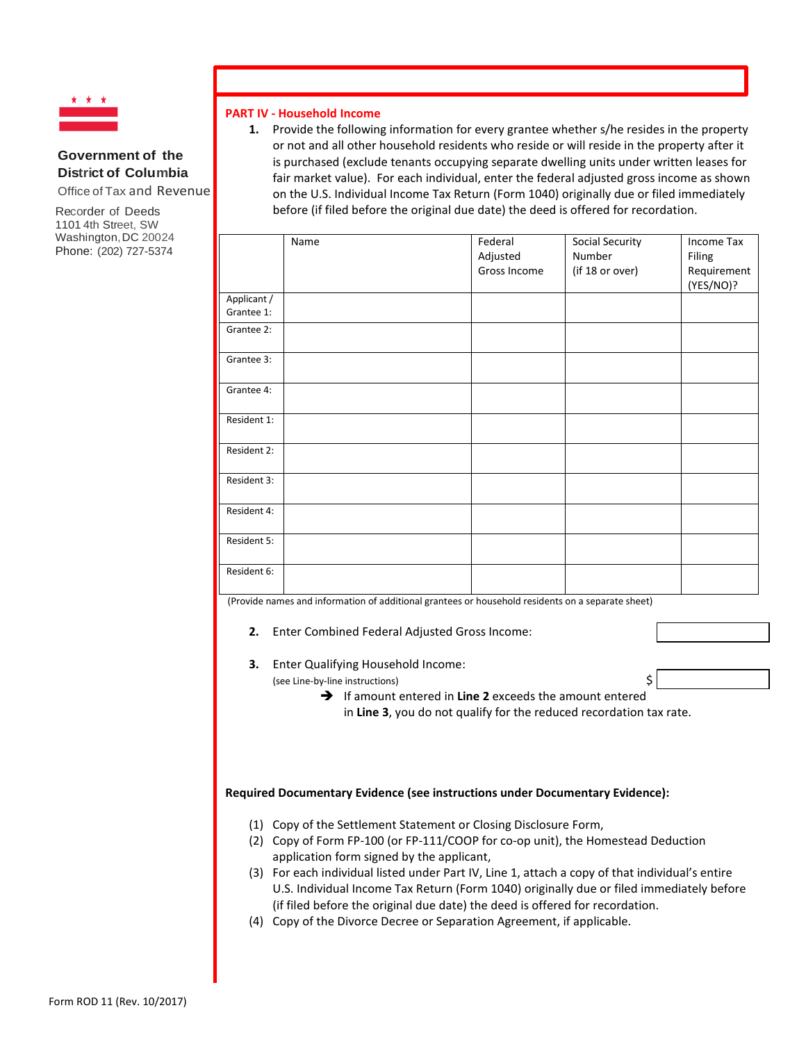

Office of Tax and Revenue

Recorder of Deeds 1101 4th Street, SW Washington, DC 20024 Phone: (202) 727-5374

#### **PART IV - Household Income**

**1.** Provide the following information for every grantee whether s/he resides in the property or not and all other household residents who reside or will reside in the property after it is purchased (exclude tenants occupying separate dwelling units under written leases for fair market value). For each individual, enter the federal adjusted gross income as shown on the U.S. Individual Income Tax Return (Form 1040) originally due or filed immediately before (if filed before the original due date) the deed is offered for recordation.

|                           | Name | Federal<br>Adjusted<br>Gross Income | Social Security<br>Number<br>(if 18 or over) | Income Tax<br>Filing<br>Requirement<br>(YES/NO)? |
|---------------------------|------|-------------------------------------|----------------------------------------------|--------------------------------------------------|
| Applicant /<br>Grantee 1: |      |                                     |                                              |                                                  |
| Grantee 2:                |      |                                     |                                              |                                                  |
| Grantee 3:                |      |                                     |                                              |                                                  |
| Grantee 4:                |      |                                     |                                              |                                                  |
| Resident 1:               |      |                                     |                                              |                                                  |
| Resident 2:               |      |                                     |                                              |                                                  |
| Resident 3:               |      |                                     |                                              |                                                  |
| Resident 4:               |      |                                     |                                              |                                                  |
| Resident 5:               |      |                                     |                                              |                                                  |
| Resident 6:               |      |                                     |                                              |                                                  |

(Provide names and information of additional grantees or household residents on a separate sheet)

- **2.** Enter Combined Federal Adjusted Gross Income:
- **3.** Enter Qualifying Household Income:

(see Line-by-line instructions) \$

→ If amount entered in Line 2 exceeds the amount entered in **Line 3**, you do not qualify for the reduced recordation tax rate.

#### **Required Documentary Evidence (see instructions under Documentary Evidence):**

- (1) Copy of the Settlement Statement or Closing Disclosure Form,
- (2) Copy of Form FP-100 (or FP-111/COOP for co-op unit), the Homestead Deduction application form signed by the applicant,
- (3) For each individual listed under Part IV, Line 1, attach a copy of that individual's entire U.S. Individual Income Tax Return (Form 1040) originally due or filed immediately before (if filed before the original due date) the deed is offered for recordation.
- (4) Copy of the Divorce Decree or Separation Agreement, if applicable.